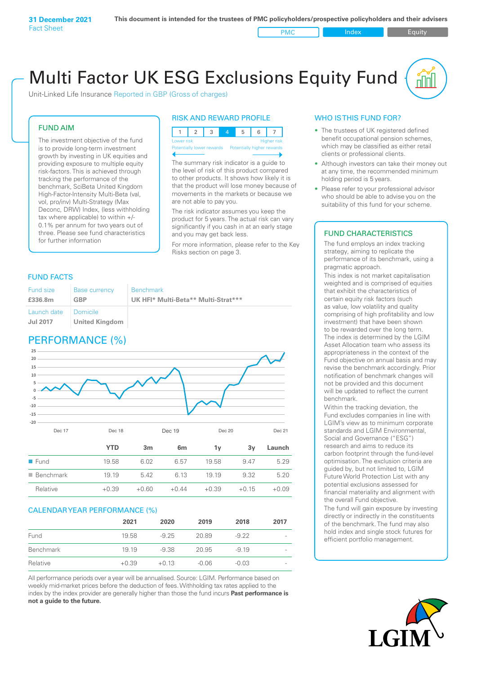PMC Index PMC Equity

# Multi Factor UK ESG Exclusions Equity Fund

Unit-Linked Life Insurance Reported in GBP (Gross of charges)

# FUND AIM

The investment objective of the fund is to provide long-term investment growth by investing in UK equities and providing exposure to multiple equity risk-factors. This is achieved through tracking the performance of the benchmark, SciBeta United Kingdom High-Factor-Intensity Multi-Beta (val, vol, pro/inv) Multi-Strategy (Max Deconc, DRW) Index, (less withholding tax where applicable) to within +/- 0.1% per annum for two years out of three. Please see fund characteristics for further information

# RISK AND REWARD PROFILE



The summary risk indicator is a quide to the level of risk of this product compared to other products. It shows how likely it is that the product will lose money because of movements in the markets or because we are not able to pay you.

The risk indicator assumes you keep the product for 5 years. The actual risk can vary significantly if you cash in at an early stage and you may get back less.

For more information, please refer to the Key Risks section on page 3.

# FUND FACTS

| Fund size                      | <b>Base currency</b>                | <b>Benchmark</b>                    |
|--------------------------------|-------------------------------------|-------------------------------------|
| £336.8m                        | GBP                                 | UK HFI* Multi-Beta** Multi-Strat*** |
| Launch date<br><b>Jul 2017</b> | – Domicile<br><b>United Kingdom</b> |                                     |

# PERFORMANCE (%)



# CALENDAR YEAR PERFORMANCE (%)

|           | 2021    | 2020    | 2019    | 2018    | 2017                     |
|-----------|---------|---------|---------|---------|--------------------------|
| Fund      | 19.58   | $-9.25$ | 20.89   | $-9.22$ | $\overline{\phantom{0}}$ |
| Benchmark | 19 19   | -9.38   | 20.95   | $-919$  | -                        |
| Relative  | $+0.39$ | $+0.13$ | $-0.06$ | $-0.03$ | -                        |

All performance periods over a year will be annualised. Source: LGIM. Performance based on weekly mid-market prices before the deduction of fees. Withholding tax rates applied to the index by the index provider are generally higher than those the fund incurs **Past performance is not a guide to the future.**

# WHO IS THIS FUND FOR?

- The trustees of UK registered defined benefit occupational pension schemes, which may be classified as either retail clients or professional clients.
- Although investors can take their money out at any time, the recommended minimum holding period is 5 years.
- Please refer to your professional advisor who should be able to advise you on the suitability of this fund for your scheme.

# FUND CHARACTERISTICS

The fund employs an index tracking strategy, aiming to replicate the performance of its benchmark, using a pragmatic approach.

This index is not market capitalisation weighted and is comprised of equities that exhibit the characteristics of certain equity risk factors (such as value, low volatility and quality comprising of high profitability and low investment) that have been shown to be rewarded over the long term. The index is determined by the LGIM Asset Allocation team who assess its appropriateness in the context of the Fund objective on annual basis and may revise the benchmark accordingly. Prior notification of benchmark changes will not be provided and this document will be updated to reflect the current benchmark.

Within the tracking deviation, the Fund excludes companies in line with LGIM's view as to minimum corporate standards and LGIM Environmental, Social and Governance ("ESG") research and aims to reduce its carbon footprint through the fund-level optimisation. The exclusion criteria are guided by, but not limited to, LGIM Future World Protection List with any potential exclusions assessed for financial materiality and alignment with the overall Fund objective.

The fund will gain exposure by investing directly or indirectly in the constituents of the benchmark. The fund may also hold index and single stock futures for efficient portfolio management.

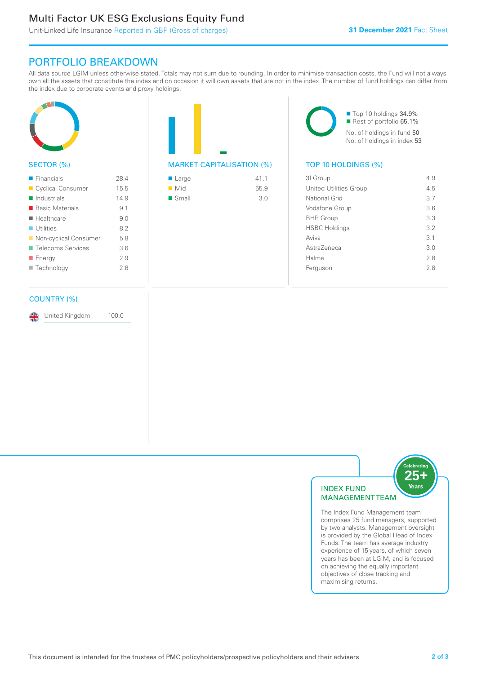# Multi Factor UK ESG Exclusions Equity Fund

Unit-Linked Life Insurance Reported in GBP (Gross of charges)

# PORTFOLIO BREAKDOWN

All data source LGIM unless otherwise stated. Totals may not sum due to rounding. In order to minimise transaction costs, the Fund will not always own all the assets that constitute the index and on occasion it will own assets that are not in the index. The number of fund holdings can differ from the index due to corporate events and proxy holdings.



# SECTOR (%)

| $\blacksquare$ Financials  | 284  |
|----------------------------|------|
| Cyclical Consumer          | 15.5 |
| $\blacksquare$ Industrials | 14.9 |
| ■ Basic Materials          | 9.1  |
| $\blacksquare$ Healthcare  | 9 O  |
| $\blacksquare$ Utilities   | 8.2  |
| ■ Non-cyclical Consumer    | 5.8  |
| ■ Telecoms Services        | 36   |
| ■ Energy                   | 2.9  |
| Technology                 | 26   |
|                            |      |

## COUNTRY (%)

United Kingdom 100.0



■ Top 10 holdings 34.9% Rest of portfolio 65.1% No. of holdings in fund 50 No. of holdings in index 53

| 31 Group                      | 4.9 |
|-------------------------------|-----|
| <b>United Utilities Group</b> | 4.5 |
| National Grid                 | 3.7 |
| Vodafone Group                | 36  |
| <b>BHP Group</b>              | 3.3 |
| <b>HSBC Holdings</b>          | 3.2 |
| Aviva                         | 3.1 |
| AstraZeneca                   | 3.0 |
| Halma                         | 2.8 |
| Ferguson                      | 2.8 |
|                               |     |



The Index Fund Management team comprises 25 fund managers, supported by two analysts. Management oversight is provided by the Global Head of Index Funds. The team has average industry experience of 15 years, of which seven years has been at LGIM, and is focused on achieving the equally important objectives of close tracking and maximising returns.